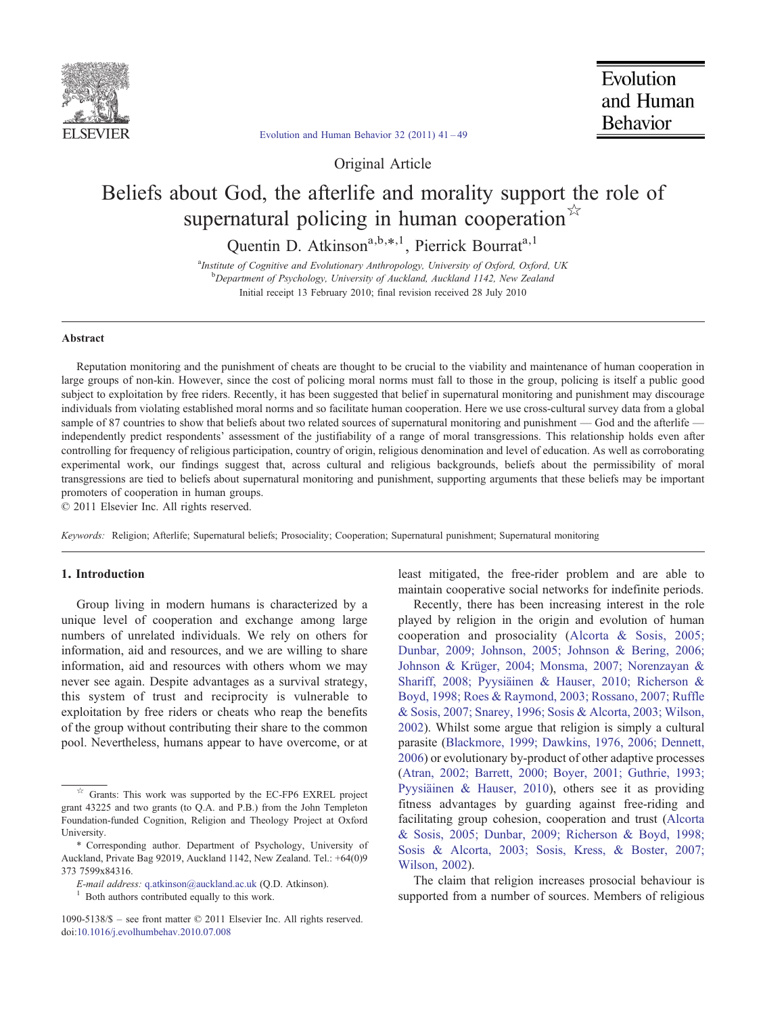<span id="page-0-0"></span>

Evolution and Human **Behavior** 

[Evolution and Human Behavior 32 \(2011\) 41](http://dx.doi.org/10.1016/j.evolhumbehav.2010.07.008)–49

Original Article

# Beliefs about God, the afterlife and morality support the role of supernatural policing in human cooperation $\mathbb{X}$

Quentin D. Atkinson<sup>a,b,\*,1</sup>, Pierrick Bourrat<sup>a,1</sup>

<sup>a</sup>Institute of Cognitive and Evolutionary Anthropology, University of Oxford, Oxford, UK<br><sup>b</sup>Department of Psychology, University of Auckland, Auckland, UA2, New Zealand <sup>b</sup>Department of Psychology, University of Auckland, Auckland 1142, New Zealand Initial receipt 13 February 2010; final revision received 28 July 2010

## Abstract

Reputation monitoring and the punishment of cheats are thought to be crucial to the viability and maintenance of human cooperation in large groups of non-kin. However, since the cost of policing moral norms must fall to those in the group, policing is itself a public good subject to exploitation by free riders. Recently, it has been suggested that belief in supernatural monitoring and punishment may discourage individuals from violating established moral norms and so facilitate human cooperation. Here we use cross-cultural survey data from a global sample of 87 countries to show that beliefs about two related sources of supernatural monitoring and punishment — God and the afterlife independently predict respondents' assessment of the justifiability of a range of moral transgressions. This relationship holds even after controlling for frequency of religious participation, country of origin, religious denomination and level of education. As well as corroborating experimental work, our findings suggest that, across cultural and religious backgrounds, beliefs about the permissibility of moral transgressions are tied to beliefs about supernatural monitoring and punishment, supporting arguments that these beliefs may be important promoters of cooperation in human groups.

© 2011 Elsevier Inc. All rights reserved.

Keywords: Religion; Afterlife; Supernatural beliefs; Prosociality; Cooperation; Supernatural punishment; Supernatural monitoring

## 1. Introduction

Group living in modern humans is characterized by a unique level of cooperation and exchange among large numbers of unrelated individuals. We rely on others for information, aid and resources, and we are willing to share information, aid and resources with others whom we may never see again. Despite advantages as a survival strategy, this system of trust and reciprocity is vulnerable to exploitation by free riders or cheats who reap the benefits of the group without contributing their share to the common pool. Nevertheless, humans appear to have overcome, or at

least mitigated, the free-rider problem and are able to maintain cooperative social networks for indefinite periods.

Recently, there has been increasing interest in the role played by religion in the origin and evolution of human cooperation and prosociality ([Alcorta & Sosis, 2005;](#page-7-0) [Dunbar, 2009; Johnson, 2005; Johnson & Bering, 2006;](#page-7-0) [Johnson & Krüger, 2004; Monsma, 2007; Norenzayan &](#page-7-0) [Shariff, 2008; Pyysiäinen & Hauser, 2010; Richerson &](#page-7-0) [Boyd, 1998; Roes & Raymond, 2003; Rossano, 2007; Ruffle](#page-7-0) [& Sosis, 2007; Snarey, 1996; Sosis & Alcorta, 2003; Wilson,](#page-7-0) [2002\)](#page-7-0). Whilst some argue that religion is simply a cultural parasite ([Blackmore, 1999; Dawkins, 1976, 2006; Dennett,](#page-7-0) [2006\)](#page-7-0) or evolutionary by-product of other adaptive processes [\(Atran, 2002; Barrett, 2000; Boyer, 2001; Guthrie, 1993;](#page-7-0) [Pyysiäinen & Hauser, 2010](#page-7-0)), others see it as providing fitness advantages by guarding against free-riding and facilitating group cohesion, cooperation and trust [\(Alcorta](#page-7-0) [& Sosis, 2005; Dunbar, 2009; Richerson & Boyd, 1998;](#page-7-0) [Sosis & Alcorta, 2003; Sosis, Kress, & Boster, 2007;](#page-7-0) [Wilson, 2002\)](#page-7-0).

The claim that religion increases prosocial behaviour is supported from a number of sources. Members of religious

<sup>☆</sup> Grants: This work was supported by the EC-FP6 EXREL project grant 43225 and two grants (to Q.A. and P.B.) from the John Templeton Foundation-funded Cognition, Religion and Theology Project at Oxford University.

<sup>⁎</sup> Corresponding author. Department of Psychology, University of Auckland, Private Bag 92019, Auckland 1142, New Zealand. Tel.: +64(0)9 373 7599x84316.

E-mail address: [q.atkinson@auckland.ac.uk](mailto:q.atkinson@auckland.ac.uk) (Q.D. Atkinson). <sup>1</sup> Both authors contributed equally to this work.

<sup>1090-5138/\$</sup> – see front matter © 2011 Elsevier Inc. All rights reserved. doi[:10.1016/j.evolhumbehav.2010.07.008](http://dx.doi.org/10.1016/j.evolhumbehav.2010.07.008)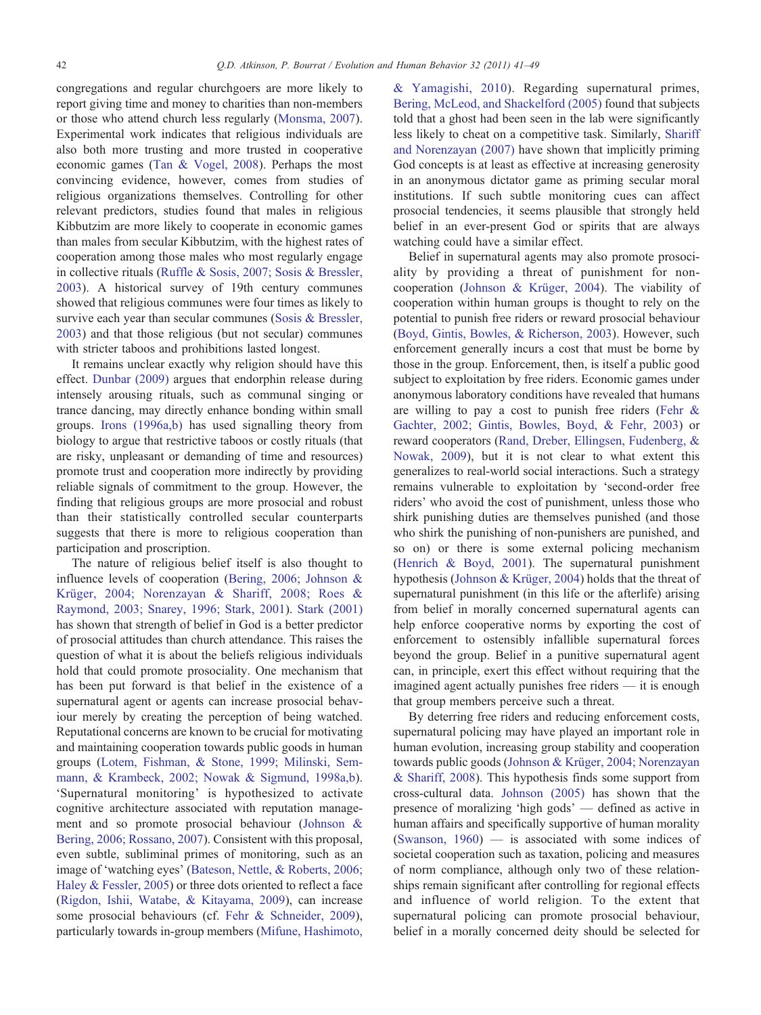congregations and regular churchgoers are more likely to report giving time and money to charities than non-members or those who attend church less regularly [\(Monsma, 2007](#page-8-0)). Experimental work indicates that religious individuals are also both more trusting and more trusted in cooperative economic games ([Tan & Vogel, 2008](#page-8-0)). Perhaps the most convincing evidence, however, comes from studies of religious organizations themselves. Controlling for other relevant predictors, studies found that males in religious Kibbutzim are more likely to cooperate in economic games than males from secular Kibbutzim, with the highest rates of cooperation among those males who most regularly engage in collective rituals ([Ruffle & Sosis, 2007; Sosis & Bressler,](#page-8-0) [2003](#page-8-0)). A historical survey of 19th century communes showed that religious communes were four times as likely to survive each year than secular communes ([Sosis & Bressler,](#page-8-0) [2003](#page-8-0)) and that those religious (but not secular) communes with stricter taboos and prohibitions lasted longest.

It remains unclear exactly why religion should have this effect. [Dunbar \(2009\)](#page-7-0) argues that endorphin release during intensely arousing rituals, such as communal singing or trance dancing, may directly enhance bonding within small groups. [Irons \(1996a,b\)](#page-7-0) has used signalling theory from biology to argue that restrictive taboos or costly rituals (that are risky, unpleasant or demanding of time and resources) promote trust and cooperation more indirectly by providing reliable signals of commitment to the group. However, the finding that religious groups are more prosocial and robust than their statistically controlled secular counterparts suggests that there is more to religious cooperation than participation and proscription.

The nature of religious belief itself is also thought to influence levels of cooperation [\(Bering, 2006; Johnson &](#page-7-0) [Krüger, 2004; Norenzayan & Shariff, 2008; Roes &](#page-7-0) [Raymond, 2003; Snarey, 1996; Stark, 2001\)](#page-7-0). [Stark \(2001\)](#page-8-0) has shown that strength of belief in God is a better predictor of prosocial attitudes than church attendance. This raises the question of what it is about the beliefs religious individuals hold that could promote prosociality. One mechanism that has been put forward is that belief in the existence of a supernatural agent or agents can increase prosocial behaviour merely by creating the perception of being watched. Reputational concerns are known to be crucial for motivating and maintaining cooperation towards public goods in human groups ([Lotem, Fishman, & Stone, 1999; Milinski, Sem](#page-8-0)[mann, & Krambeck, 2002; Nowak & Sigmund, 1998a,b](#page-8-0)). 'Supernatural monitoring' is hypothesized to activate cognitive architecture associated with reputation management and so promote prosocial behaviour ([Johnson &](#page-7-0) [Bering, 2006; Rossano, 2007\)](#page-7-0). Consistent with this proposal, even subtle, subliminal primes of monitoring, such as an image of 'watching eyes' [\(Bateson, Nettle, & Roberts, 2006;](#page-7-0) [Haley & Fessler, 2005](#page-7-0)) or three dots oriented to reflect a face [\(Rigdon, Ishii, Watabe, & Kitayama, 2009\)](#page-8-0), can increase some prosocial behaviours (cf. [Fehr & Schneider, 2009](#page-7-0)), particularly towards in-group members [\(Mifune, Hashimoto,](#page-8-0)

[& Yamagishi, 2010\)](#page-8-0). Regarding supernatural primes, [Bering, McLeod, and Shackelford \(2005\)](#page-7-0) found that subjects told that a ghost had been seen in the lab were significantly less likely to cheat on a competitive task. Similarly, [Shariff](#page-8-0) [and Norenzayan \(2007\)](#page-8-0) have shown that implicitly priming God concepts is at least as effective at increasing generosity in an anonymous dictator game as priming secular moral institutions. If such subtle monitoring cues can affect prosocial tendencies, it seems plausible that strongly held belief in an ever-present God or spirits that are always watching could have a similar effect.

Belief in supernatural agents may also promote prosociality by providing a threat of punishment for noncooperation [\(Johnson & Krüger, 2004](#page-7-0)). The viability of cooperation within human groups is thought to rely on the potential to punish free riders or reward prosocial behaviour [\(Boyd, Gintis, Bowles, & Richerson, 2003\)](#page-7-0). However, such enforcement generally incurs a cost that must be borne by those in the group. Enforcement, then, is itself a public good subject to exploitation by free riders. Economic games under anonymous laboratory conditions have revealed that humans are willing to pay a cost to punish free riders [\(Fehr &](#page-7-0) [Gachter, 2002; Gintis, Bowles, Boyd, & Fehr, 2003\)](#page-7-0) or reward cooperators [\(Rand, Dreber, Ellingsen, Fudenberg, &](#page-8-0) [Nowak, 2009](#page-8-0)), but it is not clear to what extent this generalizes to real-world social interactions. Such a strategy remains vulnerable to exploitation by 'second-order free riders' who avoid the cost of punishment, unless those who shirk punishing duties are themselves punished (and those who shirk the punishing of non-punishers are punished, and so on) or there is some external policing mechanism [\(Henrich & Boyd, 2001\)](#page-7-0). The supernatural punishment hypothesis ([Johnson & Krüger, 2004\)](#page-7-0) holds that the threat of supernatural punishment (in this life or the afterlife) arising from belief in morally concerned supernatural agents can help enforce cooperative norms by exporting the cost of enforcement to ostensibly infallible supernatural forces beyond the group. Belief in a punitive supernatural agent can, in principle, exert this effect without requiring that the imagined agent actually punishes free riders — it is enough that group members perceive such a threat.

By deterring free riders and reducing enforcement costs, supernatural policing may have played an important role in human evolution, increasing group stability and cooperation towards public goods [\(Johnson & Krüger, 2004; Norenzayan](#page-7-0) [& Shariff, 2008](#page-7-0)). This hypothesis finds some support from cross-cultural data. [Johnson \(2005\)](#page-7-0) has shown that the presence of moralizing 'high gods' — defined as active in human affairs and specifically supportive of human morality (Swanson,  $1960$ ) — is associated with some indices of societal cooperation such as taxation, policing and measures of norm compliance, although only two of these relationships remain significant after controlling for regional effects and influence of world religion. To the extent that supernatural policing can promote prosocial behaviour, belief in a morally concerned deity should be selected for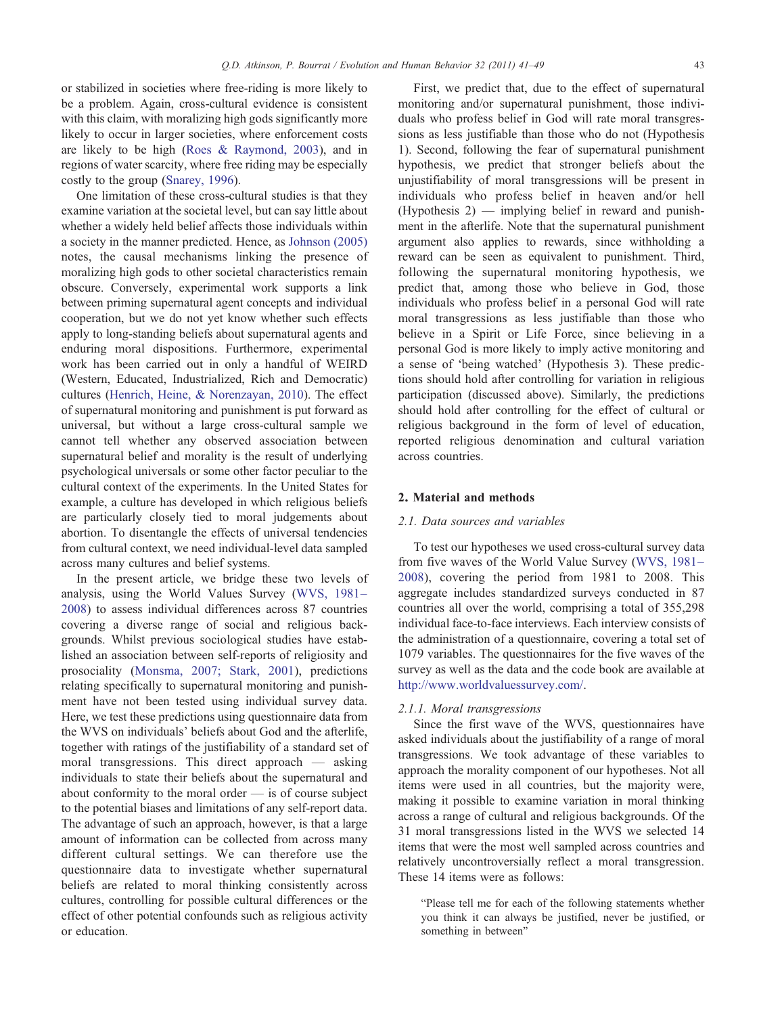or stabilized in societies where free-riding is more likely to be a problem. Again, cross-cultural evidence is consistent with this claim, with moralizing high gods significantly more likely to occur in larger societies, where enforcement costs are likely to be high [\(Roes & Raymond, 2003](#page-8-0)), and in regions of water scarcity, where free riding may be especially costly to the group ([Snarey, 1996](#page-8-0)).

One limitation of these cross-cultural studies is that they examine variation at the societal level, but can say little about whether a widely held belief affects those individuals within a society in the manner predicted. Hence, as [Johnson \(2005\)](#page-7-0) notes, the causal mechanisms linking the presence of moralizing high gods to other societal characteristics remain obscure. Conversely, experimental work supports a link between priming supernatural agent concepts and individual cooperation, but we do not yet know whether such effects apply to long-standing beliefs about supernatural agents and enduring moral dispositions. Furthermore, experimental work has been carried out in only a handful of WEIRD (Western, Educated, Industrialized, Rich and Democratic) cultures [\(Henrich, Heine, & Norenzayan, 2010](#page-7-0)). The effect of supernatural monitoring and punishment is put forward as universal, but without a large cross-cultural sample we cannot tell whether any observed association between supernatural belief and morality is the result of underlying psychological universals or some other factor peculiar to the cultural context of the experiments. In the United States for example, a culture has developed in which religious beliefs are particularly closely tied to moral judgements about abortion. To disentangle the effects of universal tendencies from cultural context, we need individual-level data sampled across many cultures and belief systems.

In the present article, we bridge these two levels of analysis, using the World Values Survey [\(WVS, 1981](#page-8-0)– [2008\)](#page-8-0) to assess individual differences across 87 countries covering a diverse range of social and religious backgrounds. Whilst previous sociological studies have established an association between self-reports of religiosity and prosociality [\(Monsma, 2007; Stark, 2001\)](#page-8-0), predictions relating specifically to supernatural monitoring and punishment have not been tested using individual survey data. Here, we test these predictions using questionnaire data from the WVS on individuals' beliefs about God and the afterlife, together with ratings of the justifiability of a standard set of moral transgressions. This direct approach — asking individuals to state their beliefs about the supernatural and about conformity to the moral order — is of course subject to the potential biases and limitations of any self-report data. The advantage of such an approach, however, is that a large amount of information can be collected from across many different cultural settings. We can therefore use the questionnaire data to investigate whether supernatural beliefs are related to moral thinking consistently across cultures, controlling for possible cultural differences or the effect of other potential confounds such as religious activity or education.

First, we predict that, due to the effect of supernatural monitoring and/or supernatural punishment, those individuals who profess belief in God will rate moral transgressions as less justifiable than those who do not (Hypothesis 1). Second, following the fear of supernatural punishment hypothesis, we predict that stronger beliefs about the unjustifiability of moral transgressions will be present in individuals who profess belief in heaven and/or hell (Hypothesis 2) — implying belief in reward and punishment in the afterlife. Note that the supernatural punishment argument also applies to rewards, since withholding a reward can be seen as equivalent to punishment. Third, following the supernatural monitoring hypothesis, we predict that, among those who believe in God, those individuals who profess belief in a personal God will rate moral transgressions as less justifiable than those who believe in a Spirit or Life Force, since believing in a personal God is more likely to imply active monitoring and a sense of 'being watched' (Hypothesis 3). These predictions should hold after controlling for variation in religious participation (discussed above). Similarly, the predictions should hold after controlling for the effect of cultural or religious background in the form of level of education, reported religious denomination and cultural variation across countries.

## 2. Material and methods

# 2.1. Data sources and variables

To test our hypotheses we used cross-cultural survey data from five waves of the World Value Survey [\(WVS, 1981](#page-8-0)– [2008](#page-8-0)), covering the period from 1981 to 2008. This aggregate includes standardized surveys conducted in 87 countries all over the world, comprising a total of 355,298 individual face-to-face interviews. Each interview consists of the administration of a questionnaire, covering a total set of 1079 variables. The questionnaires for the five waves of the survey as well as the data and the code book are available at <http://www.worldvaluessurvey.com/>.

#### 2.1.1. Moral transgressions

Since the first wave of the WVS, questionnaires have asked individuals about the justifiability of a range of moral transgressions. We took advantage of these variables to approach the morality component of our hypotheses. Not all items were used in all countries, but the majority were, making it possible to examine variation in moral thinking across a range of cultural and religious backgrounds. Of the 31 moral transgressions listed in the WVS we selected 14 items that were the most well sampled across countries and relatively uncontroversially reflect a moral transgression. These 14 items were as follows:

"Please tell me for each of the following statements whether you think it can always be justified, never be justified, or something in between"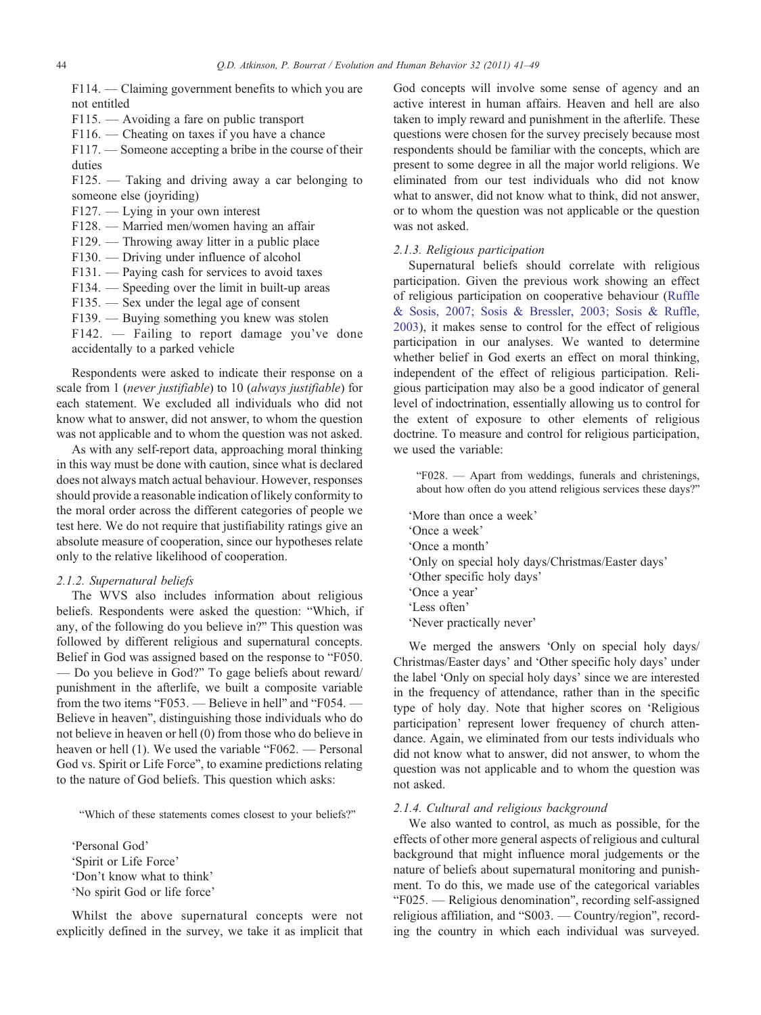F114. — Claiming government benefits to which you are not entitled

- F115. Avoiding a fare on public transport
- F116. Cheating on taxes if you have a chance
- F117. Someone accepting a bribe in the course of their duties

F125. — Taking and driving away a car belonging to someone else (joyriding)

- F127. Lying in your own interest
- F128. Married men/women having an affair

F129. — Throwing away litter in a public place

- F130. Driving under influence of alcohol
- F131. Paying cash for services to avoid taxes
- F134. Speeding over the limit in built-up areas
- F135. Sex under the legal age of consent
- F139. Buying something you knew was stolen

F142. — Failing to report damage you've done accidentally to a parked vehicle

Respondents were asked to indicate their response on a scale from 1 (never justifiable) to 10 (always justifiable) for each statement. We excluded all individuals who did not know what to answer, did not answer, to whom the question was not applicable and to whom the question was not asked.

As with any self-report data, approaching moral thinking in this way must be done with caution, since what is declared does not always match actual behaviour. However, responses should provide a reasonable indication of likely conformity to the moral order across the different categories of people we test here. We do not require that justifiability ratings give an absolute measure of cooperation, since our hypotheses relate only to the relative likelihood of cooperation.

#### 2.1.2. Supernatural beliefs

The WVS also includes information about religious beliefs. Respondents were asked the question: "Which, if any, of the following do you believe in?" This question was followed by different religious and supernatural concepts. Belief in God was assigned based on the response to "F050. — Do you believe in God?" To gage beliefs about reward/ punishment in the afterlife, we built a composite variable from the two items "F053. — Believe in hell" and "F054. — Believe in heaven", distinguishing those individuals who do not believe in heaven or hell (0) from those who do believe in heaven or hell (1). We used the variable "F062. — Personal God vs. Spirit or Life Force", to examine predictions relating to the nature of God beliefs. This question which asks:

"Which of these statements comes closest to your beliefs?"

'Personal God' 'Spirit or Life Force' 'Don't know what to think' 'No spirit God or life force'

Whilst the above supernatural concepts were not explicitly defined in the survey, we take it as implicit that God concepts will involve some sense of agency and an active interest in human affairs. Heaven and hell are also taken to imply reward and punishment in the afterlife. These questions were chosen for the survey precisely because most respondents should be familiar with the concepts, which are present to some degree in all the major world religions. We eliminated from our test individuals who did not know what to answer, did not know what to think, did not answer, or to whom the question was not applicable or the question was not asked.

## 2.1.3. Religious participation

Supernatural beliefs should correlate with religious participation. Given the previous work showing an effect of religious participation on cooperative behaviour ([Ruffle](#page-8-0) [& Sosis, 2007; Sosis & Bressler, 2003; Sosis & Ruffle,](#page-8-0) [2003](#page-8-0)), it makes sense to control for the effect of religious participation in our analyses. We wanted to determine whether belief in God exerts an effect on moral thinking, independent of the effect of religious participation. Religious participation may also be a good indicator of general level of indoctrination, essentially allowing us to control for the extent of exposure to other elements of religious doctrine. To measure and control for religious participation, we used the variable:

"F028. — Apart from weddings, funerals and christenings, about how often do you attend religious services these days?"

- 'More than once a week'
- 'Once a week'
- 'Once a month'
- 'Only on special holy days/Christmas/Easter days'
- 'Other specific holy days'
- 'Once a year'
- 'Less often'
- 'Never practically never'

We merged the answers 'Only on special holy days/ Christmas/Easter days' and 'Other specific holy days' under the label 'Only on special holy days' since we are interested in the frequency of attendance, rather than in the specific type of holy day. Note that higher scores on 'Religious participation' represent lower frequency of church attendance. Again, we eliminated from our tests individuals who did not know what to answer, did not answer, to whom the question was not applicable and to whom the question was not asked.

#### 2.1.4. Cultural and religious background

We also wanted to control, as much as possible, for the effects of other more general aspects of religious and cultural background that might influence moral judgements or the nature of beliefs about supernatural monitoring and punishment. To do this, we made use of the categorical variables "F025. — Religious denomination", recording self-assigned religious affiliation, and "S003. — Country/region", recording the country in which each individual was surveyed.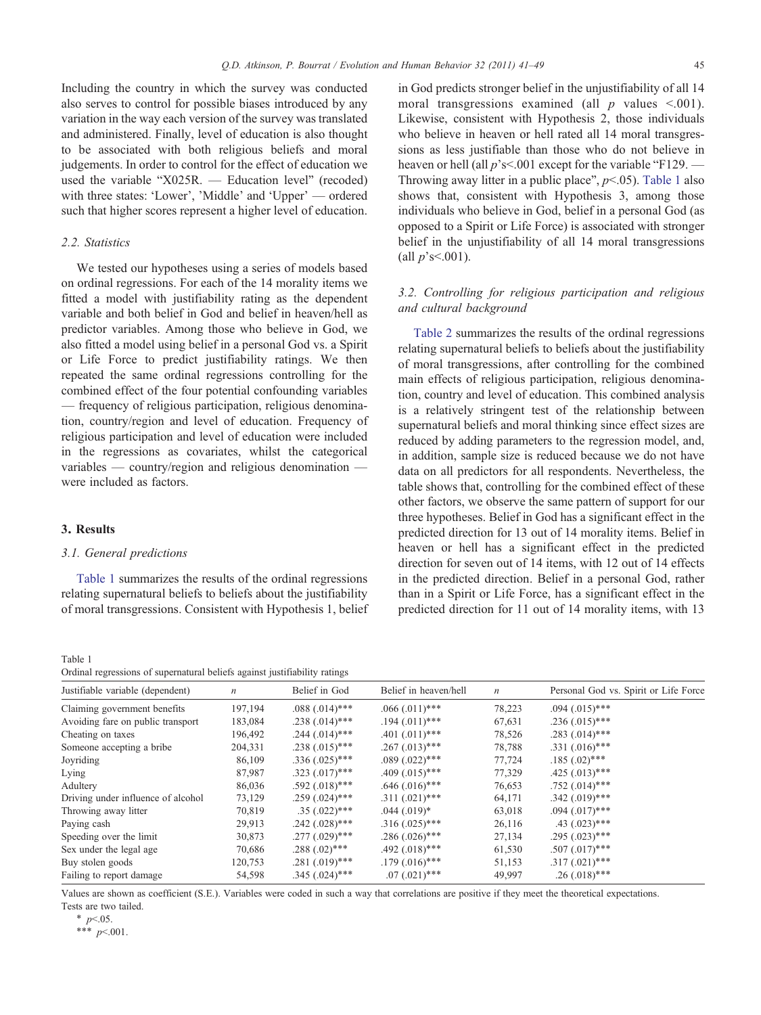Including the country in which the survey was conducted also serves to control for possible biases introduced by any variation in the way each version of the survey was translated and administered. Finally, level of education is also thought to be associated with both religious beliefs and moral judgements. In order to control for the effect of education we used the variable "X025R. — Education level" (recoded) with three states: 'Lower', 'Middle' and 'Upper' — ordered such that higher scores represent a higher level of education.

# 2.2. Statistics

We tested our hypotheses using a series of models based on ordinal regressions. For each of the 14 morality items we fitted a model with justifiability rating as the dependent variable and both belief in God and belief in heaven/hell as predictor variables. Among those who believe in God, we also fitted a model using belief in a personal God vs. a Spirit or Life Force to predict justifiability ratings. We then repeated the same ordinal regressions controlling for the combined effect of the four potential confounding variables — frequency of religious participation, religious denomination, country/region and level of education. Frequency of religious participation and level of education were included in the regressions as covariates, whilst the categorical variables — country/region and religious denomination were included as factors.

## 3. Results

#### 3.1. General predictions

Table 1 summarizes the results of the ordinal regressions relating supernatural beliefs to beliefs about the justifiability of moral transgressions. Consistent with Hypothesis 1, belief

| $\sim$<br>. .<br>v |  |
|--------------------|--|

| Ordinal regressions of supernatural beliefs against justifiability ratings |  |  |
|----------------------------------------------------------------------------|--|--|
|                                                                            |  |  |

in God predicts stronger belief in the unjustifiability of all 14 moral transgressions examined (all  $p$  values <.001). Likewise, consistent with Hypothesis 2, those individuals who believe in heaven or hell rated all 14 moral transgressions as less justifiable than those who do not believe in heaven or hell (all  $p$ 's<.001 except for the variable "F129. — Throwing away litter in a public place",  $p<0.05$ ). Table 1 also shows that, consistent with Hypothesis 3, among those individuals who believe in God, belief in a personal God (as opposed to a Spirit or Life Force) is associated with stronger belief in the unjustifiability of all 14 moral transgressions (all  $p$ 's $\leq$ .001).

# 3.2. Controlling for religious participation and religious and cultural background

[Table 2](#page-5-0) summarizes the results of the ordinal regressions relating supernatural beliefs to beliefs about the justifiability of moral transgressions, after controlling for the combined main effects of religious participation, religious denomination, country and level of education. This combined analysis is a relatively stringent test of the relationship between supernatural beliefs and moral thinking since effect sizes are reduced by adding parameters to the regression model, and, in addition, sample size is reduced because we do not have data on all predictors for all respondents. Nevertheless, the table shows that, controlling for the combined effect of these other factors, we observe the same pattern of support for our three hypotheses. Belief in God has a significant effect in the predicted direction for 13 out of 14 morality items. Belief in heaven or hell has a significant effect in the predicted direction for seven out of 14 items, with 12 out of 14 effects in the predicted direction. Belief in a personal God, rather than in a Spirit or Life Force, has a significant effect in the predicted direction for 11 out of 14 morality items, with 13

| Justifiable variable (dependent)   | $\boldsymbol{n}$ | Belief in God       | Belief in heaven/hell | $\boldsymbol{n}$ | Personal God vs. Spirit or Life Force |
|------------------------------------|------------------|---------------------|-----------------------|------------------|---------------------------------------|
| Claiming government benefits       | 197,194          | $.088(.014)$ ***    | $.066(.011)$ ***      | 78,223           | $.094(.015)$ ***                      |
| Avoiding fare on public transport  | 183,084          | $.238(.014)$ ***    | $.194(.011)$ ***      | 67,631           | $.236(.015)$ ***                      |
| Cheating on taxes                  | 196,492          | $.244(.014)$ ***    | $.401(.011)$ ***      | 78,526           | $.283$ $(.014)$ ***                   |
| Someone accepting a bribe          | 204,331          | $.238(.015)$ ***    | $.267$ $(.013)$ ***   | 78,788           | $.331(.016)$ ***                      |
| Joyriding                          | 86,109           | $.336(.025)$ ***    | $.089(.022)$ ***      | 77,724           | $.185(.02)$ ***                       |
| Lying                              | 87,987           | $.323$ $(.017)$ *** | $.409(.015)$ ***      | 77,329           | $.425(.013)$ ***                      |
| Adultery                           | 86,036           | $.592(.018)$ ***    | $.646$ $(.016)$ ***   | 76,653           | $.752(.014)$ ***                      |
| Driving under influence of alcohol | 73,129           | $.259(.024)$ ***    | $.311(.021)$ ***      | 64,171           | $.342(.019)$ ***                      |
| Throwing away litter               | 70,819           | $.35(.022)$ ***     | $.044$ $(.019)^*$     | 63,018           | $.094(.017)$ ***                      |
| Paying cash                        | 29,913           | $.242(.028)$ ***    | $.316(.025)$ ***      | 26,116           | $.43$ $(.023)***$                     |
| Speeding over the limit            | 30,873           | $.277(.029)$ ***    | $.286(.026)$ ***      | 27,134           | $.295(.023)$ ***                      |
| Sex under the legal age            | 70,686           | $.288(.02)$ ***     | $.492$ $(.018)$ ***   | 61,530           | $.507(.017)$ ***                      |
| Buy stolen goods                   | 120,753          | $.281(.019)$ ***    | $.179 \,(.016)$ ***   | 51,153           | $.317(.021)$ ***                      |
| Failing to report damage           | 54,598           | $.345(.024)$ ***    | $.07$ $(.021)$ ***    | 49,997           | $.26(.018)$ ***                       |

Values are shown as coefficient (S.E.). Variables were coded in such a way that correlations are positive if they meet the theoretical expectations. Tests are two tailed.

\*  $p<.05$ .

\*\*\*  $p<.001$ .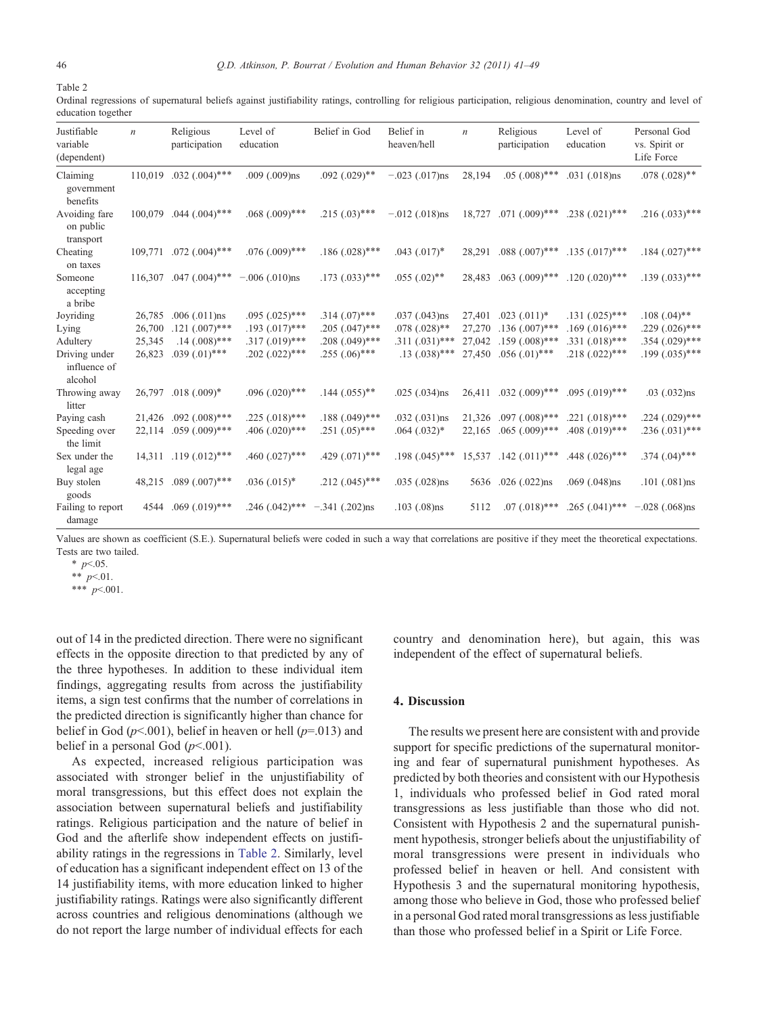<span id="page-5-0"></span>Table 2

Ordinal regressions of supernatural beliefs against justifiability ratings, controlling for religious participation, religious denomination, country and level of education together

| Justifiable<br>variable<br>(dependent)   | $\boldsymbol{n}$ | Religious<br>participation | Level of<br>education | Belief in God       | Belief in<br>heaven/hell | $\boldsymbol{n}$ | Religious<br>participation | Level of<br>education | Personal God<br>vs. Spirit or<br>Life Force |
|------------------------------------------|------------------|----------------------------|-----------------------|---------------------|--------------------------|------------------|----------------------------|-----------------------|---------------------------------------------|
| Claiming<br>government<br>benefits       | 110,019          | $.032$ $(.004)$ ***        | $.009(.009)$ ns       | $.092$ $(.029)$ **  | $-.023$ (.017)ns         | 28,194           | $.05(.008)$ ***            | $.031(.018)$ ns       | $.078(.028)$ **                             |
| Avoiding fare<br>on public<br>transport  | 100,079          | $.044$ $(.004)$ ***        | $.068(.009)$ ***      | $.215(.03)$ ***     | $-.012$ (.018)ns         |                  | 18,727 .071 (.009)***      | $.238(.021)$ ***      | $.216(.033)$ ***                            |
| Cheating<br>on taxes                     | 109,771          | $.072$ $(.004)$ ***        | $.076(.009)$ ***      | $.186(.028)$ ***    | $.043$ $(.017)^*$        | 28,291           | $.088(.007)$ ***           | $.135(.017)$ ***      | $.184(.027)$ ***                            |
| Someone<br>accepting<br>a bribe          | 116,307          | $.047$ $(.004)$ ***        | $-.006(.010)$ ns      | $.173$ $(.033)$ *** | $.055(.02)$ **           | 28,483           | $.063$ $(.009)$ ***        | $.120(.020)$ ***      | $.139(.033)$ ***                            |
| Joyriding                                | 26,785           | $.006(.011)$ ns            | $.095(.025)$ ***      | $.314(.07)$ ***     | $.037(.043)$ ns          | 27,401           | $.023$ $(.011)^*$          | $.131(.025)$ ***      | $.108(.04)$ **                              |
| Lying                                    | 26,700           | $.121$ $(.007)$ ***        | $.193$ $(.017)$ ***   | $.205(.047)$ ***    | $.078(.028)$ **          | 27,270           | $.136(.007)$ ***           | $.169$ $(.016)$ ***   | .229 $(.026)$ ***                           |
| Adultery                                 | 25,345           | $.14$ $(.008)$ ***         | $.317(.019)$ ***      | $.208(.049)$ ***    | $.311(.031)$ ***         | 27,042           | $.159(.008)$ ***           | $.331(.018)$ ***      | $.354(.029)$ ***                            |
| Driving under<br>influence of<br>alcohol | 26,823           | $.039(.01)$ ***            | $.202(.022)$ ***      | $.255(.06)$ ***     | $.13$ $(.038)$ ***       | 27,450           | $.056(.01)$ ***            | $.218(.022)$ ***      | $.199(.035)$ ***                            |
| Throwing away<br>litter                  | 26,797           | $.018(.009)*$              | $.096(.020)$ ***      | $.144(.055)$ **     | $.025(.034)$ ns          | 26,411           | $.032$ $(.009)$ ***        | $.095(.019)$ ***      | $.03$ $(.032)$ ns                           |
| Paying cash                              | 21,426           | $.092(.008)$ ***           | $.225(.018)$ ***      | $.188(.049)$ ***    | .032 $(.031)$ ns         | 21,326           | $.097(.008)$ ***           | $.221(.018)$ ***      | $.224(.029)$ ***                            |
| Speeding over<br>the limit               | 22,114           | $.059(.009)$ ***           | $.406(.020)$ ***      | .251 $(.05)$ ***    | $.064(.032)*$            | 22,165           | $.065(.009)$ ***           | $.408(.019)$ ***      | $.236(.031)$ ***                            |
| Sex under the<br>legal age               | 14,311           | $.119(.012)$ ***           | $.460(.027)$ ***      | $.429(.071)$ ***    | $.198(.045)$ ***         |                  | $15,537$ .142 $(.011)$ *** | $.448(.026)$ ***      | $.374(.04)$ ***                             |
| Buy stolen<br>goods                      |                  | 48,215 .089 (.007)***      | $.036(.015)*$         | $.212(.045)$ ***    | $.035(.028)$ ns          |                  | 5636 .026 (.022)ns         | .069 (.048)ns         | $.101(.081)$ ns                             |
| Failing to report<br>damage              |                  | 4544 .069 (.019)***        | $.246(.042)$ ***      | $-.341$ $(.202)$ ns | $.103$ $(.08)$ ns        | 5112             | $.07$ $(.018)$ ***         | $.265(.041)$ ***      | $-.028(.068)$ ns                            |

Values are shown as coefficient (S.E.). Supernatural beliefs were coded in such a way that correlations are positive if they meet the theoretical expectations. Tests are two tailed.

\*  $p<.05$ .

\*\*  $p<.01$ .

\*\*\*  $p<.001$ .

out of 14 in the predicted direction. There were no significant effects in the opposite direction to that predicted by any of the three hypotheses. In addition to these individual item findings, aggregating results from across the justifiability items, a sign test confirms that the number of correlations in the predicted direction is significantly higher than chance for belief in God ( $p<.001$ ), belief in heaven or hell ( $p=.013$ ) and belief in a personal God  $(p<.001)$ .

As expected, increased religious participation was associated with stronger belief in the unjustifiability of moral transgressions, but this effect does not explain the association between supernatural beliefs and justifiability ratings. Religious participation and the nature of belief in God and the afterlife show independent effects on justifiability ratings in the regressions in Table 2. Similarly, level of education has a significant independent effect on 13 of the 14 justifiability items, with more education linked to higher justifiability ratings. Ratings were also significantly different across countries and religious denominations (although we do not report the large number of individual effects for each

country and denomination here), but again, this was independent of the effect of supernatural beliefs.

## 4. Discussion

The results we present here are consistent with and provide support for specific predictions of the supernatural monitoring and fear of supernatural punishment hypotheses. As predicted by both theories and consistent with our Hypothesis 1, individuals who professed belief in God rated moral transgressions as less justifiable than those who did not. Consistent with Hypothesis 2 and the supernatural punishment hypothesis, stronger beliefs about the unjustifiability of moral transgressions were present in individuals who professed belief in heaven or hell. And consistent with Hypothesis 3 and the supernatural monitoring hypothesis, among those who believe in God, those who professed belief in a personal God rated moral transgressions as less justifiable than those who professed belief in a Spirit or Life Force.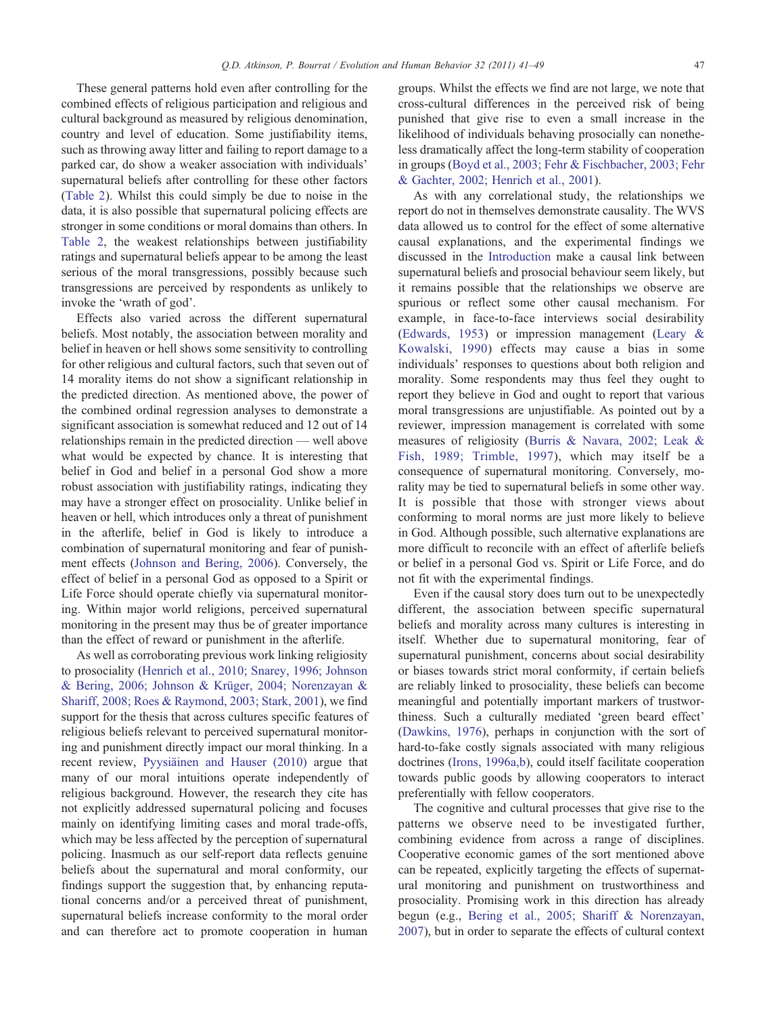These general patterns hold even after controlling for the combined effects of religious participation and religious and cultural background as measured by religious denomination, country and level of education. Some justifiability items, such as throwing away litter and failing to report damage to a parked car, do show a weaker association with individuals' supernatural beliefs after controlling for these other factors [\(Table 2](#page-5-0)). Whilst this could simply be due to noise in the data, it is also possible that supernatural policing effects are stronger in some conditions or moral domains than others. In [Table 2,](#page-5-0) the weakest relationships between justifiability ratings and supernatural beliefs appear to be among the least serious of the moral transgressions, possibly because such transgressions are perceived by respondents as unlikely to invoke the 'wrath of god'.

Effects also varied across the different supernatural beliefs. Most notably, the association between morality and belief in heaven or hell shows some sensitivity to controlling for other religious and cultural factors, such that seven out of 14 morality items do not show a significant relationship in the predicted direction. As mentioned above, the power of the combined ordinal regression analyses to demonstrate a significant association is somewhat reduced and 12 out of 14 relationships remain in the predicted direction — well above what would be expected by chance. It is interesting that belief in God and belief in a personal God show a more robust association with justifiability ratings, indicating they may have a stronger effect on prosociality. Unlike belief in heaven or hell, which introduces only a threat of punishment in the afterlife, belief in God is likely to introduce a combination of supernatural monitoring and fear of punishment effects ([Johnson and Bering, 2006](#page-7-0)). Conversely, the effect of belief in a personal God as opposed to a Spirit or Life Force should operate chiefly via supernatural monitoring. Within major world religions, perceived supernatural monitoring in the present may thus be of greater importance than the effect of reward or punishment in the afterlife.

As well as corroborating previous work linking religiosity to prosociality ([Henrich et al., 2010; Snarey, 1996; Johnson](#page-7-0) [& Bering, 2006; Johnson & Krüger, 2004; Norenzayan &](#page-7-0) [Shariff, 2008; Roes & Raymond, 2003; Stark, 2001\)](#page-7-0), we find support for the thesis that across cultures specific features of religious beliefs relevant to perceived supernatural monitoring and punishment directly impact our moral thinking. In a recent review, [Pyysiäinen and Hauser \(2010\)](#page-8-0) argue that many of our moral intuitions operate independently of religious background. However, the research they cite has not explicitly addressed supernatural policing and focuses mainly on identifying limiting cases and moral trade-offs, which may be less affected by the perception of supernatural policing. Inasmuch as our self-report data reflects genuine beliefs about the supernatural and moral conformity, our findings support the suggestion that, by enhancing reputational concerns and/or a perceived threat of punishment, supernatural beliefs increase conformity to the moral order and can therefore act to promote cooperation in human

groups. Whilst the effects we find are not large, we note that cross-cultural differences in the perceived risk of being punished that give rise to even a small increase in the likelihood of individuals behaving prosocially can nonetheless dramatically affect the long-term stability of cooperation in groups ([Boyd et al., 2003; Fehr & Fischbacher, 2003; Fehr](#page-7-0) [& Gachter, 2002; Henrich et al., 2001\)](#page-7-0).

As with any correlational study, the relationships we report do not in themselves demonstrate causality. The WVS data allowed us to control for the effect of some alternative causal explanations, and the experimental findings we discussed in the [Introduction](#page-0-0) make a causal link between supernatural beliefs and prosocial behaviour seem likely, but it remains possible that the relationships we observe are spurious or reflect some other causal mechanism. For example, in face-to-face interviews social desirability [\(Edwards, 1953\)](#page-7-0) or impression management ([Leary &](#page-7-0) [Kowalski, 1990\)](#page-7-0) effects may cause a bias in some individuals' responses to questions about both religion and morality. Some respondents may thus feel they ought to report they believe in God and ought to report that various moral transgressions are unjustifiable. As pointed out by a reviewer, impression management is correlated with some measures of religiosity ([Burris & Navara, 2002; Leak &](#page-7-0) [Fish, 1989; Trimble, 1997](#page-7-0)), which may itself be a consequence of supernatural monitoring. Conversely, morality may be tied to supernatural beliefs in some other way. It is possible that those with stronger views about conforming to moral norms are just more likely to believe in God. Although possible, such alternative explanations are more difficult to reconcile with an effect of afterlife beliefs or belief in a personal God vs. Spirit or Life Force, and do not fit with the experimental findings.

Even if the causal story does turn out to be unexpectedly different, the association between specific supernatural beliefs and morality across many cultures is interesting in itself. Whether due to supernatural monitoring, fear of supernatural punishment, concerns about social desirability or biases towards strict moral conformity, if certain beliefs are reliably linked to prosociality, these beliefs can become meaningful and potentially important markers of trustworthiness. Such a culturally mediated 'green beard effect' [\(Dawkins, 1976](#page-7-0)), perhaps in conjunction with the sort of hard-to-fake costly signals associated with many religious doctrines [\(Irons, 1996a,b](#page-7-0)), could itself facilitate cooperation towards public goods by allowing cooperators to interact preferentially with fellow cooperators.

The cognitive and cultural processes that give rise to the patterns we observe need to be investigated further, combining evidence from across a range of disciplines. Cooperative economic games of the sort mentioned above can be repeated, explicitly targeting the effects of supernatural monitoring and punishment on trustworthiness and prosociality. Promising work in this direction has already begun (e.g., [Bering et al., 2005; Shariff & Norenzayan,](#page-7-0) [2007\)](#page-7-0), but in order to separate the effects of cultural context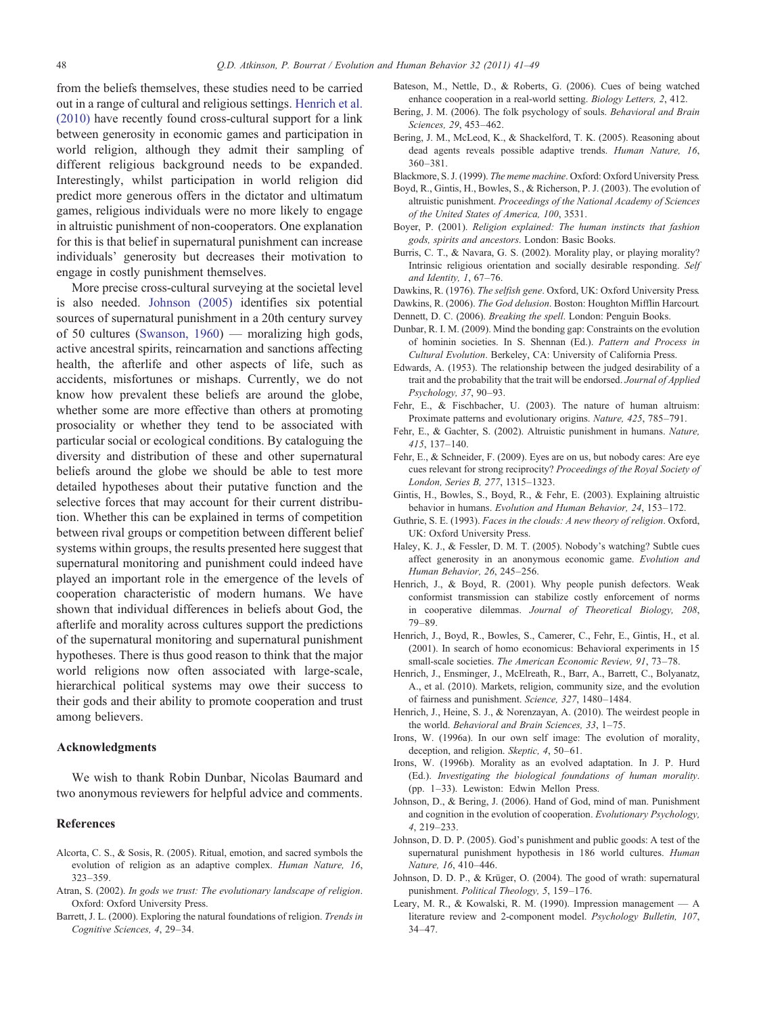<span id="page-7-0"></span>from the beliefs themselves, these studies need to be carried out in a range of cultural and religious settings. Henrich et al. (2010) have recently found cross-cultural support for a link between generosity in economic games and participation in world religion, although they admit their sampling of different religious background needs to be expanded. Interestingly, whilst participation in world religion did predict more generous offers in the dictator and ultimatum games, religious individuals were no more likely to engage in altruistic punishment of non-cooperators. One explanation for this is that belief in supernatural punishment can increase individuals' generosity but decreases their motivation to engage in costly punishment themselves.

More precise cross-cultural surveying at the societal level is also needed. Johnson (2005) identifies six potential sources of supernatural punishment in a 20th century survey of 50 cultures ([Swanson, 1960](#page-8-0)) — moralizing high gods, active ancestral spirits, reincarnation and sanctions affecting health, the afterlife and other aspects of life, such as accidents, misfortunes or mishaps. Currently, we do not know how prevalent these beliefs are around the globe, whether some are more effective than others at promoting prosociality or whether they tend to be associated with particular social or ecological conditions. By cataloguing the diversity and distribution of these and other supernatural beliefs around the globe we should be able to test more detailed hypotheses about their putative function and the selective forces that may account for their current distribution. Whether this can be explained in terms of competition between rival groups or competition between different belief systems within groups, the results presented here suggest that supernatural monitoring and punishment could indeed have played an important role in the emergence of the levels of cooperation characteristic of modern humans. We have shown that individual differences in beliefs about God, the afterlife and morality across cultures support the predictions of the supernatural monitoring and supernatural punishment hypotheses. There is thus good reason to think that the major world religions now often associated with large-scale, hierarchical political systems may owe their success to their gods and their ability to promote cooperation and trust among believers.

## Acknowledgments

We wish to thank Robin Dunbar, Nicolas Baumard and two anonymous reviewers for helpful advice and comments.

## References

- Alcorta, C. S., & Sosis, R. (2005). Ritual, emotion, and sacred symbols the evolution of religion as an adaptive complex. Human Nature, 16, 323–359.
- Atran, S. (2002). In gods we trust: The evolutionary landscape of religion. Oxford: Oxford University Press.
- Barrett, J. L. (2000). Exploring the natural foundations of religion. Trends in Cognitive Sciences, 4, 29–34.
- Bateson, M., Nettle, D., & Roberts, G. (2006). Cues of being watched enhance cooperation in a real-world setting. Biology Letters, 2, 412.
- Bering, J. M. (2006). The folk psychology of souls. Behavioral and Brain Sciences, 29, 453–462.
- Bering, J. M., McLeod, K., & Shackelford, T. K. (2005). Reasoning about dead agents reveals possible adaptive trends. Human Nature, 16, 360–381.

Blackmore, S. J. (1999). The meme machine. Oxford: Oxford University Press.

- Boyd, R., Gintis, H., Bowles, S., & Richerson, P. J. (2003). The evolution of altruistic punishment. Proceedings of the National Academy of Sciences of the United States of America, 100, 3531.
- Boyer, P. (2001). Religion explained: The human instincts that fashion gods, spirits and ancestors. London: Basic Books.
- Burris, C. T., & Navara, G. S. (2002). Morality play, or playing morality? Intrinsic religious orientation and socially desirable responding. Self and Identity, 1, 67–76.

Dawkins, R. (1976). The selfish gene. Oxford, UK: Oxford University Press.

- Dawkins, R. (2006). The God delusion. Boston: Houghton Mifflin Harcourt.
- Dennett, D. C. (2006). Breaking the spell. London: Penguin Books.
- Dunbar, R. I. M. (2009). Mind the bonding gap: Constraints on the evolution of hominin societies. In S. Shennan (Ed.). Pattern and Process in Cultural Evolution. Berkeley, CA: University of California Press.
- Edwards, A. (1953). The relationship between the judged desirability of a trait and the probability that the trait will be endorsed. Journal of Applied Psychology, 37, 90–93.
- Fehr, E., & Fischbacher, U. (2003). The nature of human altruism: Proximate patterns and evolutionary origins. Nature, 425, 785–791.
- Fehr, E., & Gachter, S. (2002). Altruistic punishment in humans. Nature, 415, 137–140.
- Fehr, E., & Schneider, F. (2009). Eyes are on us, but nobody cares: Are eye cues relevant for strong reciprocity? Proceedings of the Royal Society of London, Series B, 277, 1315–1323.
- Gintis, H., Bowles, S., Boyd, R., & Fehr, E. (2003). Explaining altruistic behavior in humans. Evolution and Human Behavior, 24, 153–172.
- Guthrie, S. E. (1993). Faces in the clouds: A new theory of religion. Oxford, UK: Oxford University Press.
- Haley, K. J., & Fessler, D. M. T. (2005). Nobody's watching? Subtle cues affect generosity in an anonymous economic game. Evolution and Human Behavior, 26, 245–256.
- Henrich, J., & Boyd, R. (2001). Why people punish defectors. Weak conformist transmission can stabilize costly enforcement of norms in cooperative dilemmas. Journal of Theoretical Biology, 208, 79–89.
- Henrich, J., Boyd, R., Bowles, S., Camerer, C., Fehr, E., Gintis, H., et al. (2001). In search of homo economicus: Behavioral experiments in 15 small-scale societies. The American Economic Review, 91, 73–78.
- Henrich, J., Ensminger, J., McElreath, R., Barr, A., Barrett, C., Bolyanatz, A., et al. (2010). Markets, religion, community size, and the evolution of fairness and punishment. Science, 327, 1480–1484.
- Henrich, J., Heine, S. J., & Norenzayan, A. (2010). The weirdest people in the world. Behavioral and Brain Sciences, 33, 1-75.
- Irons, W. (1996a). In our own self image: The evolution of morality, deception, and religion. Skeptic, 4, 50–61.
- Irons, W. (1996b). Morality as an evolved adaptation. In J. P. Hurd (Ed.). Investigating the biological foundations of human morality. (pp. 1–33). Lewiston: Edwin Mellon Press.
- Johnson, D., & Bering, J. (2006). Hand of God, mind of man. Punishment and cognition in the evolution of cooperation. Evolutionary Psychology, 4, 219–233.
- Johnson, D. D. P. (2005). God's punishment and public goods: A test of the supernatural punishment hypothesis in 186 world cultures. Human Nature, 16, 410–446.
- Johnson, D. D. P., & Krüger, O. (2004). The good of wrath: supernatural punishment. Political Theology, 5, 159–176.
- Leary, M. R., & Kowalski, R. M. (1990). Impression management A literature review and 2-component model. Psychology Bulletin, 107, 34–47.